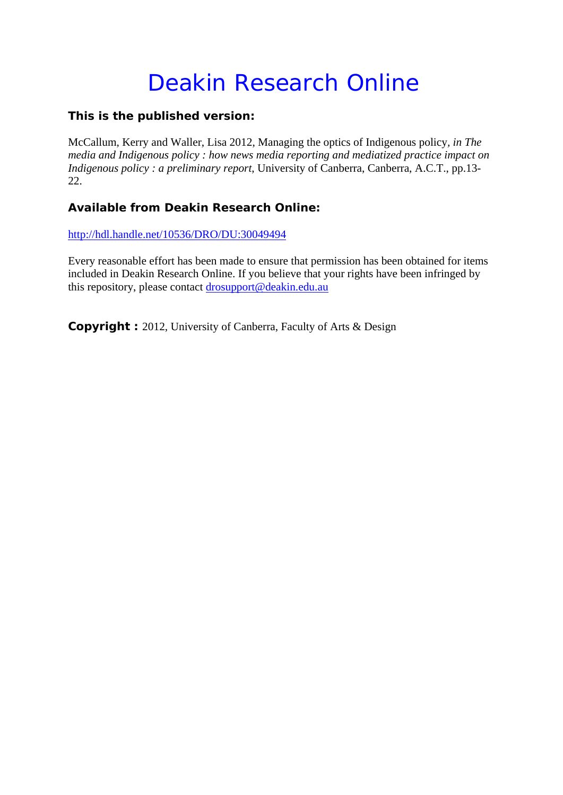# Deakin Research Online

# **This is the published version:**

McCallum, Kerry and Waller, Lisa 2012, Managing the optics of Indigenous policy*, in The media and Indigenous policy : how news media reporting and mediatized practice impact on Indigenous policy : a preliminary report*, University of Canberra, Canberra, A.C.T., pp.13-22.

# **Available from Deakin Research Online:**

http://hdl.handle.net/10536/DRO/DU:30049494

Every reasonable effort has been made to ensure that permission has been obtained for items included in Deakin Research Online. If you believe that your rights have been infringed by this repository, please contact drosupport@deakin.edu.au

**Copyright :** 2012, University of Canberra, Faculty of Arts & Design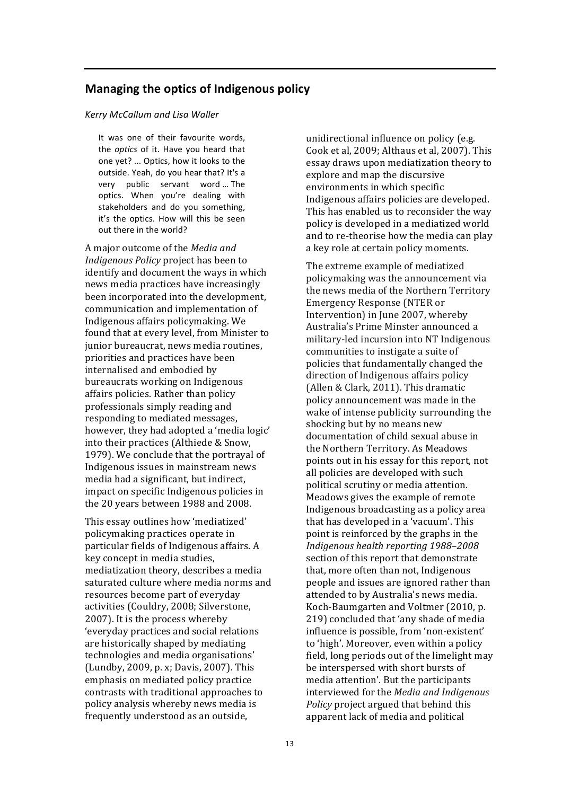## **Managing the optics of Indigenous policy**

#### *Kerry McCallum and Lisa Waller*

It was one of their favourite words, the *optics* of it. Have you heard that one yet? ... Optics, how it looks to the outside. Yeah, do you hear that? It's a very public servant word ... The optics. When you're dealing with stakeholders and do you something, it's the optics. How will this be seen out there in the world?

A major outcome of the *Media and Indigenous Policy* project has been to identify and document the ways in which news media practices have increasingly been incorporated into the development, communication and implementation of Indigenous affairs policymaking. We found that at every level, from Minister to junior bureaucrat, news media routines, priorities and practices have been internalised and embodied by bureaucrats working on Indigenous affairs policies. Rather than policy professionals simply reading and responding to mediated messages, however, they had adopted a 'media logic' into their practices (Althiede & Snow, 1979). We conclude that the portrayal of Indigenous issues in mainstream news media had a significant, but indirect, impact on specific Indigenous policies in the 20 years between 1988 and 2008.

This essay outlines how 'mediatized' policymaking practices operate in particular fields of Indigenous affairs. A key concept in media studies, mediatization theory, describes a media saturated culture where media norms and resources become part of everyday activities (Couldry, 2008; Silverstone, 2007). It is the process whereby 'everyday practices and social relations are historically shaped by mediating technologies and media organisations' (Lundby, 2009, p. x; Davis, 2007). This emphasis on mediated policy practice contrasts with traditional approaches to policy analysis whereby news media is frequently understood as an outside,

unidirectional influence on policy (e.g. Cook et al, 2009; Althaus et al, 2007). This essay draws upon mediatization theory to explore and map the discursive environments in which specific Indigenous affairs policies are developed. This has enabled us to reconsider the way policy is developed in a mediatized world and to re-theorise how the media can play a key role at certain policy moments.

The extreme example of mediatized policymaking was the announcement via the news media of the Northern Territory Emergency Response (NTER or Intervention) in June 2007, whereby Australia's Prime Minster announced a military-led incursion into NT Indigenous communities to instigate a suite of policies that fundamentally changed the direction of Indigenous affairs policy (Allen & Clark, 2011). This dramatic policy announcement was made in the wake of intense publicity surrounding the shocking but by no means new documentation of child sexual abuse in the Northern Territory. As Meadows points out in his essay for this report, not all policies are developed with such political scrutiny or media attention. Meadows gives the example of remote Indigenous broadcasting as a policy area that has developed in a 'vacuum'. This point is reinforced by the graphs in the *Indigenous health reporting 1988–2008* section of this report that demonstrate that, more often than not, Indigenous people and issues are ignored rather than attended to by Australia's news media. Koch-Baumgarten and Voltmer (2010, p. 219) concluded that 'any shade of media influence is possible, from 'non-existent' to 'high'. Moreover, even within a policy field, long periods out of the limelight may be interspersed with short bursts of media attention'. But the participants interviewed for the *Media and Indigenous Policy* project argued that behind this apparent lack of media and political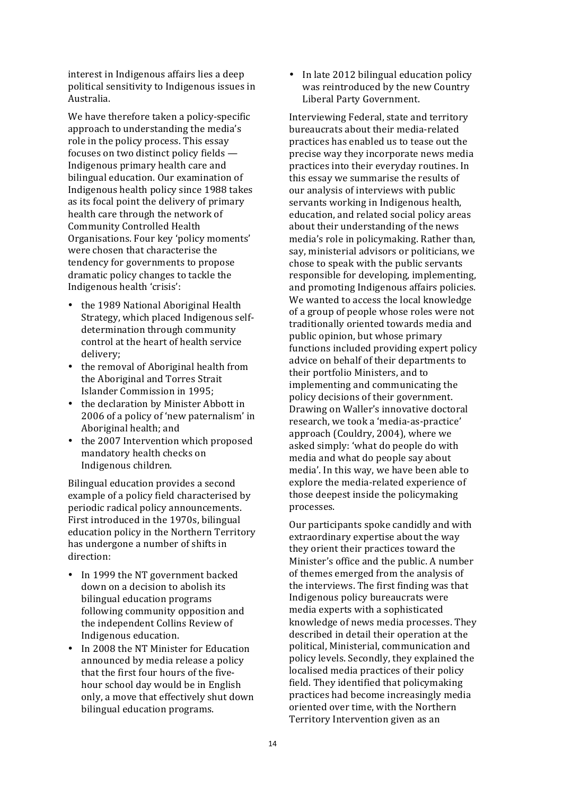interest in Indigenous affairs lies a deep political sensitivity to Indigenous issues in Australia.

We have therefore taken a policy-specific approach to understanding the media's role in the policy process. This essay focuses on two distinct policy fields -Indigenous primary health care and bilingual education. Our examination of Indigenous health policy since 1988 takes as its focal point the delivery of primary health care through the network of Community Controlled Health Organisations. Four key 'policy moments' were chosen that characterise the tendency for governments to propose dramatic policy changes to tackle the Indigenous health 'crisis':

- the 1989 National Aboriginal Health Strategy, which placed Indigenous selfdetermination through community control at the heart of health service delivery;
- the removal of Aboriginal health from the Aboriginal and Torres Strait Islander Commission in 1995:
- the declaration by Minister Abbott in 2006 of a policy of 'new paternalism' in Aboriginal health; and
- the 2007 Intervention which proposed mandatory health checks on Indigenous children.

Bilingual education provides a second example of a policy field characterised by periodic radical policy announcements. First introduced in the 1970s, bilingual education policy in the Northern Territory has undergone a number of shifts in direction:

- In 1999 the NT government backed down on a decision to abolish its bilingual education programs following community opposition and the independent Collins Review of Indigenous education.
- In 2008 the NT Minister for Education announced by media release a policy that the first four hours of the fivehour school day would be in English only, a move that effectively shut down bilingual education programs.

• In late 2012 bilingual education policy was reintroduced by the new Country Liberal Party Government.

Interviewing Federal, state and territory bureaucrats about their media-related practices has enabled us to tease out the precise way they incorporate news media practices into their everyday routines. In this essay we summarise the results of our analysis of interviews with public servants working in Indigenous health, education, and related social policy areas about their understanding of the news media's role in policymaking. Rather than, say, ministerial advisors or politicians, we chose to speak with the public servants responsible for developing, implementing, and promoting Indigenous affairs policies. We wanted to access the local knowledge of a group of people whose roles were not traditionally oriented towards media and public opinion, but whose primary functions included providing expert policy advice on behalf of their departments to their portfolio Ministers, and to implementing and communicating the policy decisions of their government. Drawing on Waller's innovative doctoral research, we took a 'media-as-practice' approach (Couldry, 2004), where we asked simply: 'what do people do with media and what do people say about media'. In this way, we have been able to explore the media-related experience of those deepest inside the policymaking processes. 

Our participants spoke candidly and with extraordinary expertise about the way they orient their practices toward the Minister's office and the public. A number of themes emerged from the analysis of the interviews. The first finding was that Indigenous policy bureaucrats were media experts with a sophisticated knowledge of news media processes. They described in detail their operation at the political, Ministerial, communication and policy levels. Secondly, they explained the localised media practices of their policy field. They identified that policymaking practices had become increasingly media oriented over time, with the Northern Territory Intervention given as an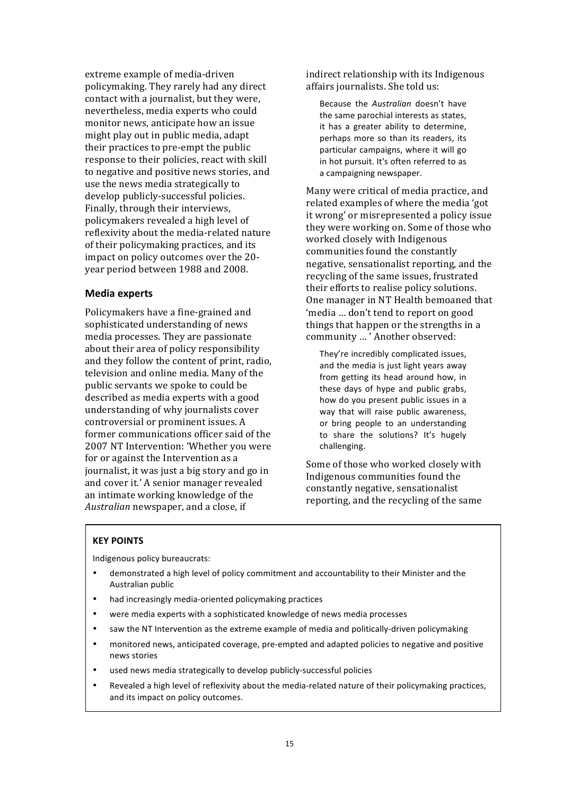extreme example of media-driven policymaking. They rarely had any direct contact with a journalist, but they were, nevertheless, media experts who could monitor news, anticipate how an issue might play out in public media, adapt their practices to pre-empt the public response to their policies, react with skill to negative and positive news stories, and use the news media strategically to develop publicly-successful policies. Finally, through their interviews, policymakers revealed a high level of reflexivity about the media-related nature of their policymaking practices, and its impact on policy outcomes over the 20year period between 1988 and 2008.

#### **Media experts**

Policymakers have a fine-grained and sophisticated understanding of news media processes. They are passionate about their area of policy responsibility and they follow the content of print, radio, television and online media. Many of the public servants we spoke to could be described as media experts with a good understanding of why journalists cover controversial or prominent issues. A former communications officer said of the 2007 NT Intervention: 'Whether you were for or against the Intervention as a journalist, it was just a big story and go in and cover it.' A senior manager revealed an intimate working knowledge of the Australian newspaper, and a close, if

indirect relationship with its Indigenous affairs journalists. She told us:

Because the *Australian* doesn't have the same parochial interests as states, it has a greater ability to determine, perhaps more so than its readers, its particular campaigns, where it will go in hot pursuit. It's often referred to as a campaigning newspaper.

Many were critical of media practice, and related examples of where the media 'got it wrong' or misrepresented a policy issue they were working on. Some of those who worked closely with Indigenous communities found the constantly negative, sensationalist reporting, and the recycling of the same issues, frustrated their efforts to realise policy solutions. One manager in NT Health bemoaned that 'media ... don't tend to report on good things that happen or the strengths in a community ... ' Another observed:

They're incredibly complicated issues, and the media is just light years away from getting its head around how, in these days of hype and public grabs, how do you present public issues in a way that will raise public awareness, or bring people to an understanding to share the solutions? It's hugely challenging.

Some of those who worked closely with Indigenous communities found the constantly negative, sensationalist reporting, and the recycling of the same

#### **KEY POINTS**

Indigenous policy bureaucrats:

- demonstrated a high level of policy commitment and accountability to their Minister and the Australian public
- had increasingly media-oriented policymaking practices
- were media experts with a sophisticated knowledge of news media processes
- saw the NT Intervention as the extreme example of media and politically-driven policymaking
- monitored news, anticipated coverage, pre-empted and adapted policies to negative and positive news stories
- used news media strategically to develop publicly-successful policies
- Revealed a high level of reflexivity about the media-related nature of their policymaking practices, and its impact on policy outcomes.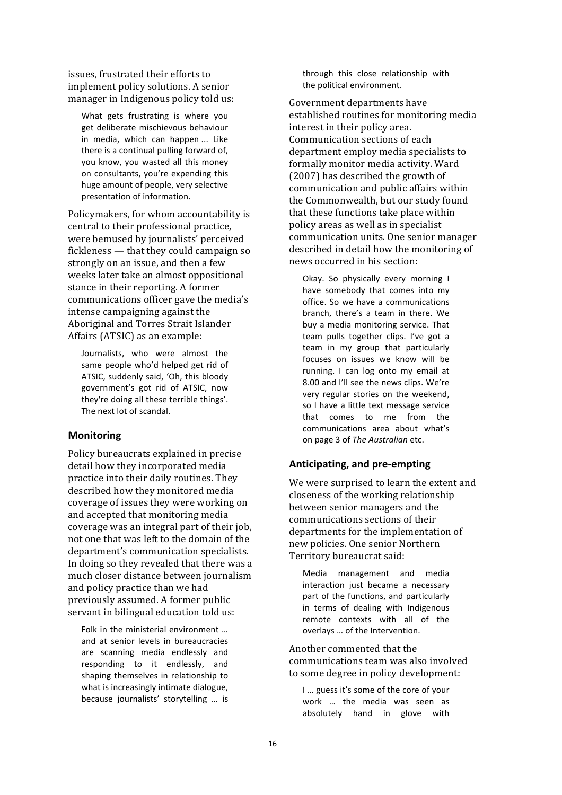issues, frustrated their efforts to implement policy solutions. A senior manager in Indigenous policy told us:

What gets frustrating is where you get deliberate mischievous behaviour in media, which can happen ... Like there is a continual pulling forward of, you know, you wasted all this money on consultants, you're expending this huge amount of people, very selective presentation of information.

Policymakers, for whom accountability is central to their professional practice, were bemused by journalists' perceived fickleness  $-$  that they could campaign so strongly on an issue, and then a few weeks later take an almost oppositional stance in their reporting. A former communications officer gave the media's intense campaigning against the Aboriginal and Torres Strait Islander Affairs (ATSIC) as an example:

Journalists, who were almost the same people who'd helped get rid of ATSIC, suddenly said, 'Oh, this bloody government's got rid of ATSIC, now they're doing all these terrible things'. The next lot of scandal.

#### **Monitoring**

Policy bureaucrats explained in precise detail how they incorporated media practice into their daily routines. They described how they monitored media coverage of issues they were working on and accepted that monitoring media coverage was an integral part of their *job*. not one that was left to the domain of the department's communication specialists. In doing so they revealed that there was a much closer distance between journalism and policy practice than we had previously assumed. A former public servant in bilingual education told us:

Folk in the ministerial environment ... and at senior levels in bureaucracies are scanning media endlessly and responding to it endlessly, and shaping themselves in relationship to what is increasingly intimate dialogue, because journalists' storytelling ... is

through this close relationship with the political environment.

Government departments have established routines for monitoring media interest in their policy area. Communication sections of each department employ media specialists to formally monitor media activity. Ward  $(2007)$  has described the growth of communication and public affairs within the Commonwealth, but our study found that these functions take place within policy areas as well as in specialist communication units. One senior manager described in detail how the monitoring of news occurred in his section:

Okay. So physically every morning I have somebody that comes into my office. So we have a communications branch, there's a team in there. We buy a media monitoring service. That team pulls together clips. I've got a team in my group that particularly focuses on issues we know will be running. I can log onto my email at 8.00 and I'll see the news clips. We're very regular stories on the weekend, so I have a little text message service that comes to me from the communications area about what's on page 3 of *The Australian* etc. 

#### **Anticipating, and pre-empting**

We were surprised to learn the extent and closeness of the working relationship between senior managers and the communications sections of their departments for the implementation of new policies. One senior Northern Territory bureaucrat said:

Media management and media interaction just became a necessary part of the functions, and particularly in terms of dealing with Indigenous remote contexts with all of the overlays ... of the Intervention.

Another commented that the communications team was also involved to some degree in policy development:

I ... guess it's some of the core of your work ... the media was seen as absolutely hand in glove with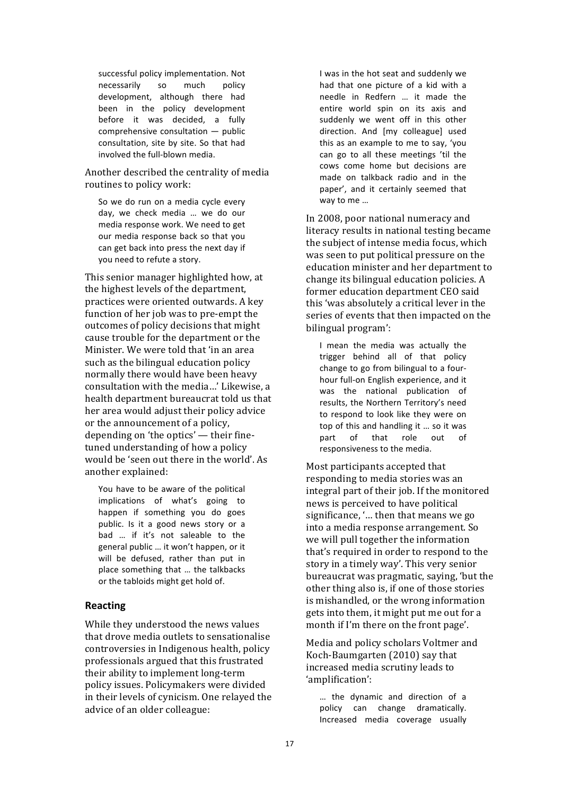successful policy implementation. Not necessarily so much policy development, although there had been in the policy development before it was decided, a fully  $comprehensive$  consultation  $-$  public consultation, site by site. So that had involved the full-blown media.

Another described the centrality of media routines to policy work:

So we do run on a media cycle every day, we check media ... we do our media response work. We need to get our media response back so that you can get back into press the next day if you need to refute a story.

This senior manager highlighted how, at the highest levels of the department, practices were oriented outwards. A key function of her job was to pre-empt the outcomes of policy decisions that might cause trouble for the department or the Minister. We were told that 'in an area such as the bilingual education policy normally there would have been heavy consultation with the media...' Likewise, a health department bureaucrat told us that her area would adjust their policy advice or the announcement of a policy, depending on 'the optics'  $-$  their finetuned understanding of how a policy would be 'seen out there in the world'. As another explained:

You have to be aware of the political implications of what's going to happen if something you do goes public. Is it a good news story or a bad ... if it's not saleable to the general public ... it won't happen, or it will be defused, rather than put in place something that ... the talkbacks or the tabloids might get hold of.

#### **Reacting**

While they understood the news values that drove media outlets to sensationalise controversies in Indigenous health, policy professionals argued that this frustrated their ability to implement long-term policy issues. Policymakers were divided in their levels of cynicism. One relayed the advice of an older colleague:

I was in the hot seat and suddenly we had that one picture of a kid with a needle in Redfern ... it made the entire world spin on its axis and suddenly we went off in this other direction. And [my colleague] used this as an example to me to say, 'you can go to all these meetings 'til the cows come home but decisions are made on talkback radio and in the paper', and it certainly seemed that way to me ...

In 2008, poor national numeracy and literacy results in national testing became the subject of intense media focus, which was seen to put political pressure on the education minister and her department to change its bilingual education policies. A former education department CEO said this 'was absolutely a critical lever in the series of events that then impacted on the bilingual program':

I mean the media was actually the trigger behind all of that policy change to go from bilingual to a fourhour full-on English experience, and it was the national publication of results, the Northern Territory's need to respond to look like they were on top of this and handling it ... so it was part of that role out of responsiveness to the media.

Most participants accepted that responding to media stories was an integral part of their job. If the monitored news is perceived to have political significance, '... then that means we go into a media response arrangement. So we will pull together the information that's required in order to respond to the story in a timely way'. This very senior bureaucrat was pragmatic, saying, 'but the other thing also is, if one of those stories is mishandled, or the wrong information gets into them, it might put me out for a month if I'm there on the front page'.

Media and policy scholars Voltmer and Koch-Baumgarten (2010) say that increased media scrutiny leads to 'amplification':

... the dynamic and direction of a policy can change dramatically. Increased media coverage usually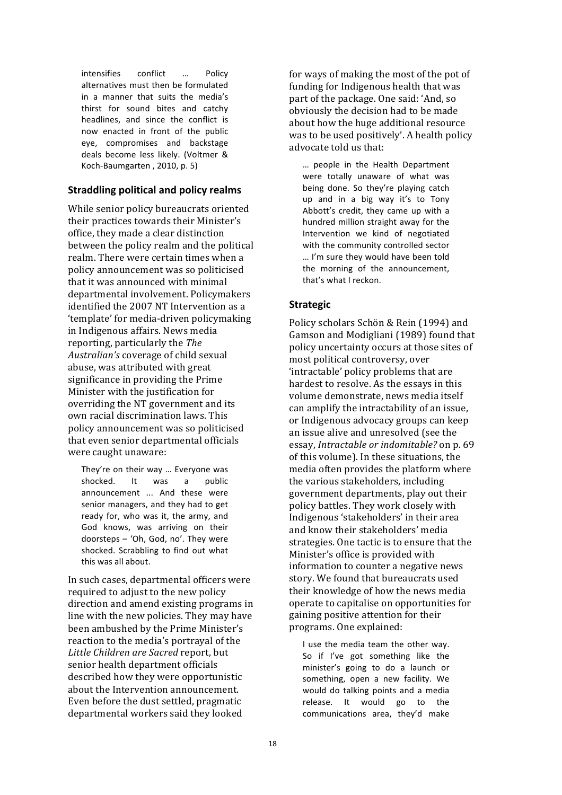intensifies conflict ... Policy alternatives must then be formulated in a manner that suits the media's thirst for sound bites and catchy headlines, and since the conflict is now enacted in front of the public eye, compromises and backstage deals become less likely. (Voltmer & Koch-Baumgarten, 2010, p. 5)

### **Straddling political and policy realms**

While senior policy bureaucrats oriented their practices towards their Minister's office, they made a clear distinction between the policy realm and the political realm. There were certain times when a policy announcement was so politicised that it was announced with minimal departmental involvement. Policymakers identified the 2007 NT Intervention as a 'template' for media-driven policymaking in Indigenous affairs. News media reporting, particularly the *The Australian's* coverage of child sexual abuse, was attributed with great significance in providing the Prime Minister with the justification for overriding the NT government and its own racial discrimination laws. This policy announcement was so politicised that even senior departmental officials were caught unaware:

They're on their way ... Everyone was shocked. It was a public announcement ... And these were senior managers, and they had to get ready for, who was it, the army, and God knows, was arriving on their doorsteps - 'Oh, God, no'. They were shocked. Scrabbling to find out what this was all about.

In such cases, departmental officers were. required to adjust to the new policy direction and amend existing programs in line with the new policies. They may have been ambushed by the Prime Minister's reaction to the media's portrayal of the Little Children are Sacred report, but senior health department officials described how they were opportunistic about the Intervention announcement. Even before the dust settled, pragmatic departmental workers said they looked

for ways of making the most of the pot of funding for Indigenous health that was part of the package. One said: 'And, so obviously the decision had to be made about how the huge additional resource was to be used positively'. A health policy advocate told us that:

... people in the Health Department were totally unaware of what was being done. So they're playing catch up and in a big way it's to Tony Abbott's credit, they came up with a hundred million straight away for the Intervention we kind of negotiated with the community controlled sector ... I'm sure they would have been told the morning of the announcement. that's what I reckon.

## **Strategic**

Policy scholars Schön & Rein (1994) and Gamson and Modigliani (1989) found that policy uncertainty occurs at those sites of most political controversy, over 'intractable' policy problems that are hardest to resolve. As the essays in this volume demonstrate, news media itself can amplify the intractability of an issue, or Indigenous advocacy groups can keep an issue alive and unresolved (see the essay, *Intractable or indomitable?* on p. 69 of this volume). In these situations, the media often provides the platform where the various stakeholders, including government departments, play out their policy battles. They work closely with Indigenous 'stakeholders' in their area and know their stakeholders' media strategies. One tactic is to ensure that the Minister's office is provided with information to counter a negative news story. We found that bureaucrats used their knowledge of how the news media operate to capitalise on opportunities for gaining positive attention for their programs. One explained:

I use the media team the other way. So if I've got something like the minister's going to do a launch or something, open a new facility. We would do talking points and a media release. It would go to the communications area, they'd make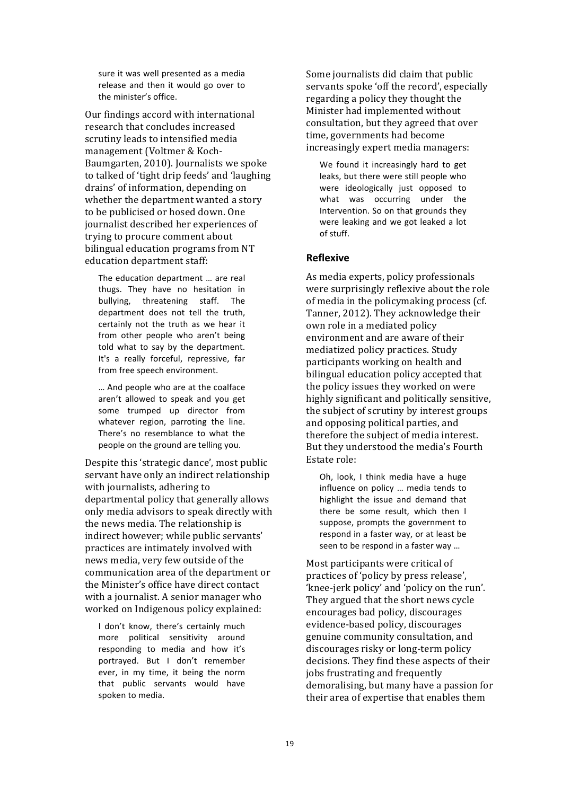sure it was well presented as a media release and then it would go over to the minister's office.

Our findings accord with international research that concludes increased scrutiny leads to intensified media management (Voltmer & Koch-Baumgarten, 2010). Journalists we spoke to talked of 'tight drip feeds' and 'laughing drains' of information, depending on whether the department wanted a story to be publicised or hosed down. One journalist described her experiences of trying to procure comment about bilingual education programs from NT education department staff:

The education department ... are real thugs. They have no hesitation in bullying, threatening staff. The department does not tell the truth, certainly not the truth as we hear it from other people who aren't being told what to say by the department. It's a really forceful, repressive, far from free speech environment.

... And people who are at the coalface aren't allowed to speak and you get some trumped up director from whatever region, parroting the line. There's no resemblance to what the people on the ground are telling you.

Despite this 'strategic dance', most public servant have only an indirect relationship with journalists, adhering to departmental policy that generally allows only media advisors to speak directly with the news media. The relationship is indirect however; while public servants' practices are intimately involved with news media, very few outside of the communication area of the department or the Minister's office have direct contact with a journalist. A senior manager who worked on Indigenous policy explained:

I don't know, there's certainly much more political sensitivity around responding to media and how it's portrayed. But I don't remember ever, in my time, it being the norm that public servants would have spoken to media.

Some journalists did claim that public servants spoke 'off the record', especially regarding a policy they thought the Minister had implemented without consultation, but they agreed that over time, governments had become increasingly expert media managers:

We found it increasingly hard to get leaks, but there were still people who were ideologically just opposed to what was occurring under the Intervention. So on that grounds they were leaking and we got leaked a lot of stuff.

#### **Reflexive**

As media experts, policy professionals were surprisingly reflexive about the role of media in the policymaking process (cf. Tanner, 2012). They acknowledge their own role in a mediated policy environment and are aware of their mediatized policy practices. Study participants working on health and bilingual education policy accepted that the policy issues they worked on were highly significant and politically sensitive, the subject of scrutiny by interest groups and opposing political parties, and therefore the subject of media interest. But they understood the media's Fourth Estate role:

Oh, look, I think media have a huge influence on policy ... media tends to highlight the issue and demand that there be some result, which then I suppose, prompts the government to respond in a faster way, or at least be seen to be respond in a faster way ...

Most participants were critical of practices of 'policy by press release', 'knee-jerk policy' and 'policy on the run'. They argued that the short news cycle encourages bad policy, discourages evidence-based policy, discourages genuine community consultation, and discourages risky or long-term policy decisions. They find these aspects of their jobs frustrating and frequently demoralising, but many have a passion for their area of expertise that enables them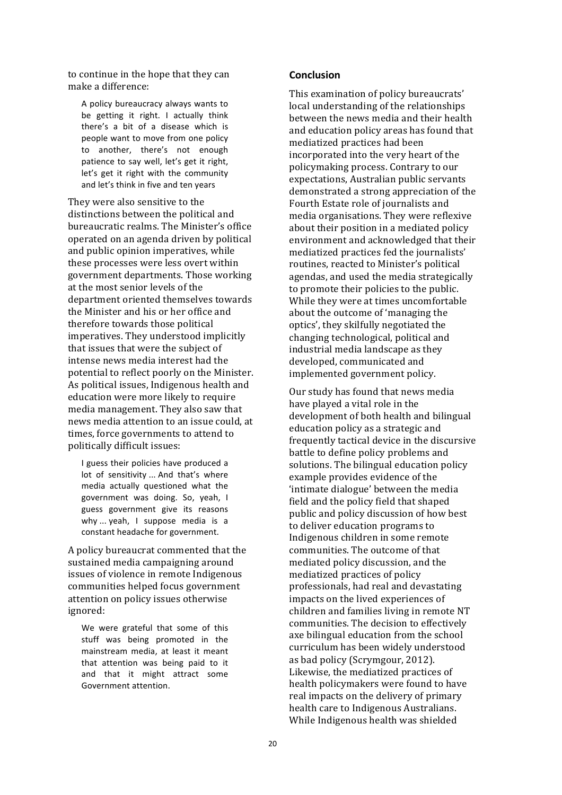to continue in the hope that they can make a difference:

A policy bureaucracy always wants to be getting it right. I actually think there's a bit of a disease which is people want to move from one policy to another, there's not enough patience to say well, let's get it right. let's get it right with the community and let's think in five and ten years

They were also sensitive to the distinctions between the political and bureaucratic realms. The Minister's office operated on an agenda driven by political and public opinion imperatives, while these processes were less overt within government departments. Those working at the most senior levels of the department oriented themselves towards the Minister and his or her office and therefore towards those political imperatives. They understood implicitly that issues that were the subject of intense news media interest had the potential to reflect poorly on the Minister. As political issues, Indigenous health and education were more likely to require media management. They also saw that news media attention to an issue could, at times, force governments to attend to politically difficult issues:

I guess their policies have produced a lot of sensitivity ... And that's where media actually questioned what the government was doing. So, yeah, I guess government give its reasons why ... yeah, I suppose media is a constant headache for government.

A policy bureaucrat commented that the sustained media campaigning around issues of violence in remote Indigenous communities helped focus government attention on policy issues otherwise ignored: 

We were grateful that some of this stuff was being promoted in the mainstream media, at least it meant that attention was being paid to it and that it might attract some Government attention.

#### **Conclusion**

This examination of policy bureaucrats' local understanding of the relationships between the news media and their health and education policy areas has found that mediatized practices had been incorporated into the very heart of the policymaking process. Contrary to our expectations, Australian public servants demonstrated a strong appreciation of the Fourth Estate role of journalists and media organisations. They were reflexive about their position in a mediated policy environment and acknowledged that their mediatized practices fed the journalists' routines, reacted to Minister's political agendas, and used the media strategically to promote their policies to the public. While they were at times uncomfortable about the outcome of 'managing the optics', they skilfully negotiated the changing technological, political and industrial media landscape as they developed, communicated and implemented government policy.

Our study has found that news media have played a vital role in the development of both health and bilingual education policy as a strategic and frequently tactical device in the discursive battle to define policy problems and solutions. The bilingual education policy example provides evidence of the 'intimate dialogue' between the media field and the policy field that shaped public and policy discussion of how best to deliver education programs to Indigenous children in some remote communities. The outcome of that mediated policy discussion, and the mediatized practices of policy professionals, had real and devastating impacts on the lived experiences of children and families living in remote NT communities. The decision to effectively axe bilingual education from the school curriculum has been widely understood as bad policy (Scrymgour, 2012). Likewise, the mediatized practices of health policymakers were found to have real impacts on the delivery of primary health care to Indigenous Australians. While Indigenous health was shielded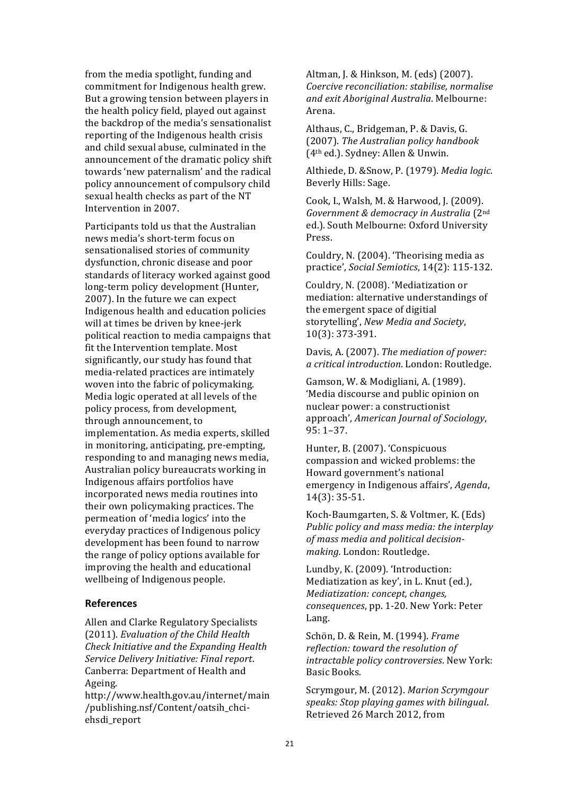from the media spotlight, funding and commitment for Indigenous health grew. But a growing tension between players in the health policy field, played out against the backdrop of the media's sensationalist reporting of the Indigenous health crisis and child sexual abuse, culminated in the announcement of the dramatic policy shift towards 'new paternalism' and the radical policy announcement of compulsory child sexual health checks as part of the NT Intervention in 2007.

Participants told us that the Australian news media's short-term focus on sensationalised stories of community dysfunction, chronic disease and poor standards of literacy worked against good long-term policy development (Hunter, 2007). In the future we can expect Indigenous health and education policies will at times be driven by knee-jerk political reaction to media campaigns that fit the Intervention template. Most significantly, our study has found that media-related practices are intimately woven into the fabric of policymaking. Media logic operated at all levels of the policy process, from development, through announcement, to implementation. As media experts, skilled in monitoring, anticipating, pre-empting, responding to and managing news media, Australian policy bureaucrats working in Indigenous affairs portfolios have incorporated news media routines into their own policymaking practices. The permeation of 'media logics' into the everyday practices of Indigenous policy development has been found to narrow the range of policy options available for improving the health and educational wellbeing of Indigenous people.

#### **References**

Allen and Clarke Regulatory Specialists (2011). *Evaluation of the Child Health Check Initiative and the Expanding Health Service Delivery Initiative: Final report*. Canberra: Department of Health and Ageing. 

http://www.health.gov.au/internet/main /publishing.nsf/Content/oatsih\_chciehsdi\_report

Altman, J. & Hinkson, M. (eds) (2007). *Coercive reconciliation: stabilise, normalise and exit Aboriginal Australia*. Melbourne: Arena. 

Althaus, C., Bridgeman, P. & Davis, G. (2007). *The Australian policy handbook* (4th ed.). Sydney: Allen & Unwin. 

Althiede, D. &Snow, P. (1979). *Media logic*. Beverly Hills: Sage.

Cook, I., Walsh, M. & Harwood, J. (2009). *Government & democracy in Australia* (2nd ed.). South Melbourne: Oxford University Press.

Couldry, N. (2004). 'Theorising media as practice', *Social Semiotics*, 14(2): 115-132.

Couldry, N. (2008). 'Mediatization or mediation: alternative understandings of the emergent space of digitial storytelling', *New Media and Society*, 10(3): 373-391. 

Davis, A. (2007). *The mediation of power: a critical introduction*. London: Routledge. 

Gamson, W. & Modigliani, A. (1989). 'Media discourse and public opinion on nuclear power: a constructionist approach', *American Journal of Sociology*, 95: 1–37.

Hunter, B. (2007). 'Conspicuous compassion and wicked problems: the Howard government's national emergency in Indigenous affairs', *Agenda*, 14(3): 35-51. 

Koch-Baumgarten, S. & Voltmer, K. (Eds) *Public policy and mass media: the interplay* of mass media and political decision*making.* London: Routledge.

Lundby, K. (2009). 'Introduction: Mediatization as key', in L. Knut (ed.), *Mediatization:* concept, changes, *consequences*, pp. 1-20. New York: Peter Lang.

Schön, D. & Rein, M. (1994). *Frame reflection: toward the resolution of* intractable policy controversies. New York: Basic Books.

Scrymgour, M. (2012). Marion Scrymgour *speaks: Stop playing games with bilingual*. Retrieved 26 March 2012, from